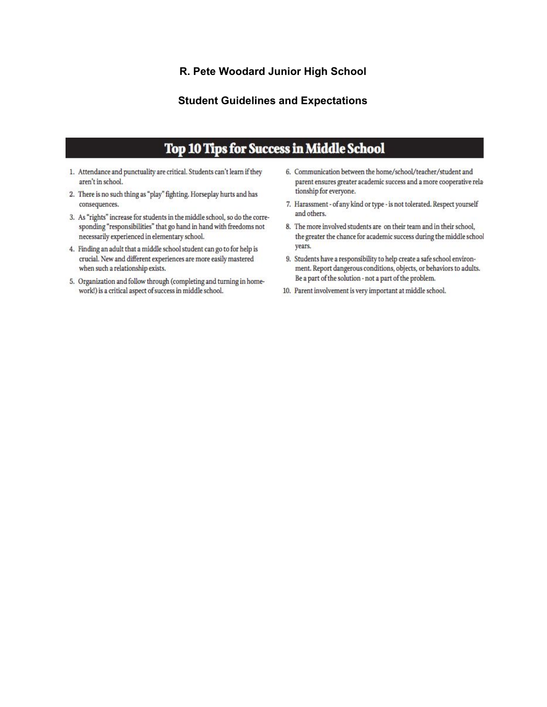#### R. Pete Woodard Junior High School

#### **Student Guidelines and Expectations**

# **Top 10 Tips for Success in Middle School**

- 1. Attendance and punctuality are critical. Students can't learn if they aren't in school.
- 2. There is no such thing as "play" fighting. Horseplay hurts and has consequences.
- 3. As "rights" increase for students in the middle school, so do the corresponding "responsibilities" that go hand in hand with freedoms not necessarily experienced in elementary school.
- 4. Finding an adult that a middle school student can go to for help is crucial. New and different experiences are more easily mastered when such a relationship exists.
- 5. Organization and follow through (completing and turning in homework!) is a critical aspect of success in middle school.
- 6. Communication between the home/school/teacher/student and parent ensures greater academic success and a more cooperative relationship for everyone.
- 7. Harassment of any kind or type is not tolerated. Respect yourself and others.
- 8. The more involved students are on their team and in their school, the greater the chance for academic success during the middle school years.
- 9. Students have a responsibility to help create a safe school environment. Report dangerous conditions, objects, or behaviors to adults. Be a part of the solution - not a part of the problem.
- 10. Parent involvement is very important at middle school.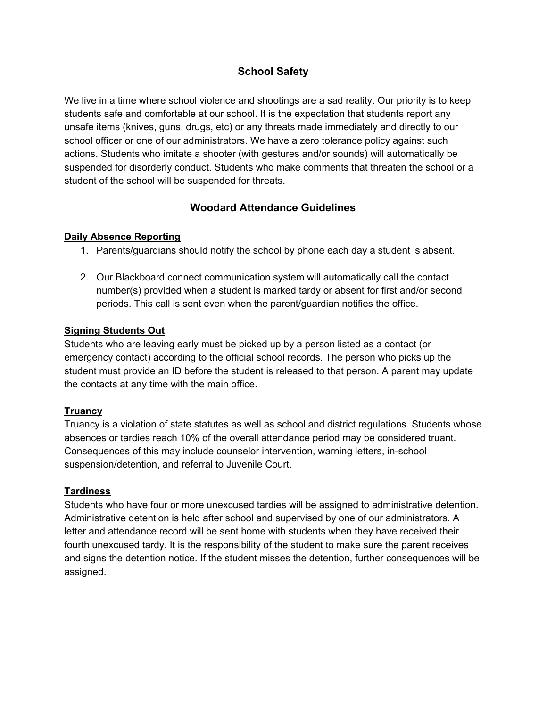# **School Safety**

We live in a time where school violence and shootings are a sad reality. Our priority is to keep students safe and comfortable at our school. It is the expectation that students report any unsafe items (knives, guns, drugs, etc) or any threats made immediately and directly to our school officer or one of our administrators. We have a zero tolerance policy against such actions. Students who imitate a shooter (with gestures and/or sounds) will automatically be suspended for disorderly conduct. Students who make comments that threaten the school or a student of the school will be suspended for threats.

## **Woodard Attendance Guidelines**

#### **Daily Absence Reporting**

- 1. Parents/guardians should notify the school by phone each day a student is absent.
- 2. Our Blackboard connect communication system will automatically call the contact number(s) provided when a student is marked tardy or absent for first and/or second periods. This call is sent even when the parent/guardian notifies the office.

#### **Signing Students Out**

Students who are leaving early must be picked up by a person listed as a contact (or emergency contact) according to the official school records. The person who picks up the student must provide an ID before the student is released to that person. A parent may update the contacts at any time with the main office.

## **Truancy**

Truancy is a violation of state statutes as well as school and district regulations. Students whose absences or tardies reach 10% of the overall attendance period may be considered truant. Consequences of this may include counselor intervention, warning letters, in-school suspension/detention, and referral to Juvenile Court.

#### **Tardiness**

Students who have four or more unexcused tardies will be assigned to administrative detention. Administrative detention is held after school and supervised by one of our administrators. A letter and attendance record will be sent home with students when they have received their fourth unexcused tardy. It is the responsibility of the student to make sure the parent receives and signs the detention notice. If the student misses the detention, further consequences will be assigned.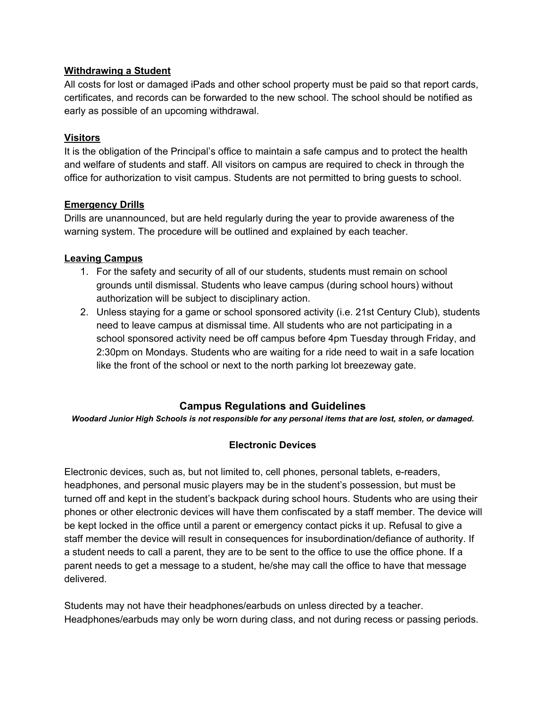#### **Withdrawing a Student**

All costs for lost or damaged iPads and other school property must be paid so that report cards, certificates, and records can be forwarded to the new school. The school should be notified as early as possible of an upcoming withdrawal.

#### **Visitors**

It is the obligation of the Principal's office to maintain a safe campus and to protect the health and welfare of students and staff. All visitors on campus are required to check in through the office for authorization to visit campus. Students are not permitted to bring guests to school.

#### **Emergency Drills**

Drills are unannounced, but are held regularly during the year to provide awareness of the warning system. The procedure will be outlined and explained by each teacher.

#### **Leaving Campus**

- 1. For the safety and security of all of our students, students must remain on school grounds until dismissal. Students who leave campus (during school hours) without authorization will be subject to disciplinary action.
- 2. Unless staying for a game or school sponsored activity (i.e. 21st Century Club), students need to leave campus at dismissal time. All students who are not participating in a school sponsored activity need be off campus before 4pm Tuesday through Friday, and 2:30pm on Mondays. Students who are waiting for a ride need to wait in a safe location like the front of the school or next to the north parking lot breezeway gate.

## **Campus Regulations and Guidelines**

*Woodard Junior High Schools is not responsible for any personal items that are lost, stolen, or damaged.*

## **Electronic Devices**

Electronic devices, such as, but not limited to, cell phones, personal tablets, e-readers, headphones, and personal music players may be in the student's possession, but must be turned off and kept in the student's backpack during school hours. Students who are using their phones or other electronic devices will have them confiscated by a staff member. The device will be kept locked in the office until a parent or emergency contact picks it up. Refusal to give a staff member the device will result in consequences for insubordination/defiance of authority. If a student needs to call a parent, they are to be sent to the office to use the office phone. If a parent needs to get a message to a student, he/she may call the office to have that message delivered.

Students may not have their headphones/earbuds on unless directed by a teacher. Headphones/earbuds may only be worn during class, and not during recess or passing periods.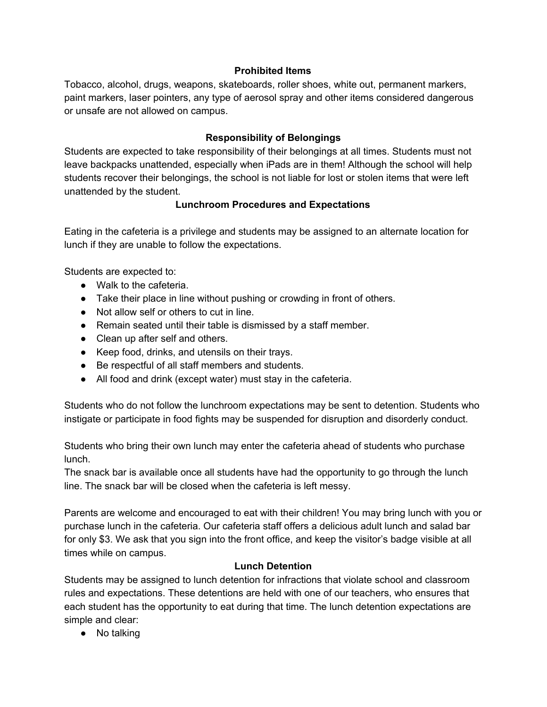#### **Prohibited Items**

Tobacco, alcohol, drugs, weapons, skateboards, roller shoes, white out, permanent markers, paint markers, laser pointers, any type of aerosol spray and other items considered dangerous or unsafe are not allowed on campus.

## **Responsibility of Belongings**

Students are expected to take responsibility of their belongings at all times. Students must not leave backpacks unattended, especially when iPads are in them! Although the school will help students recover their belongings, the school is not liable for lost or stolen items that were left unattended by the student.

## **Lunchroom Procedures and Expectations**

Eating in the cafeteria is a privilege and students may be assigned to an alternate location for lunch if they are unable to follow the expectations.

Students are expected to:

- Walk to the cafeteria.
- Take their place in line without pushing or crowding in front of others.
- Not allow self or others to cut in line.
- Remain seated until their table is dismissed by a staff member.
- Clean up after self and others.
- Keep food, drinks, and utensils on their trays.
- Be respectful of all staff members and students.
- All food and drink (except water) must stay in the cafeteria.

Students who do not follow the lunchroom expectations may be sent to detention. Students who instigate or participate in food fights may be suspended for disruption and disorderly conduct.

Students who bring their own lunch may enter the cafeteria ahead of students who purchase lunch.

The snack bar is available once all students have had the opportunity to go through the lunch line. The snack bar will be closed when the cafeteria is left messy.

Parents are welcome and encouraged to eat with their children! You may bring lunch with you or purchase lunch in the cafeteria. Our cafeteria staff offers a delicious adult lunch and salad bar for only \$3. We ask that you sign into the front office, and keep the visitor's badge visible at all times while on campus.

## **Lunch Detention**

Students may be assigned to lunch detention for infractions that violate school and classroom rules and expectations. These detentions are held with one of our teachers, who ensures that each student has the opportunity to eat during that time. The lunch detention expectations are simple and clear:

● No talking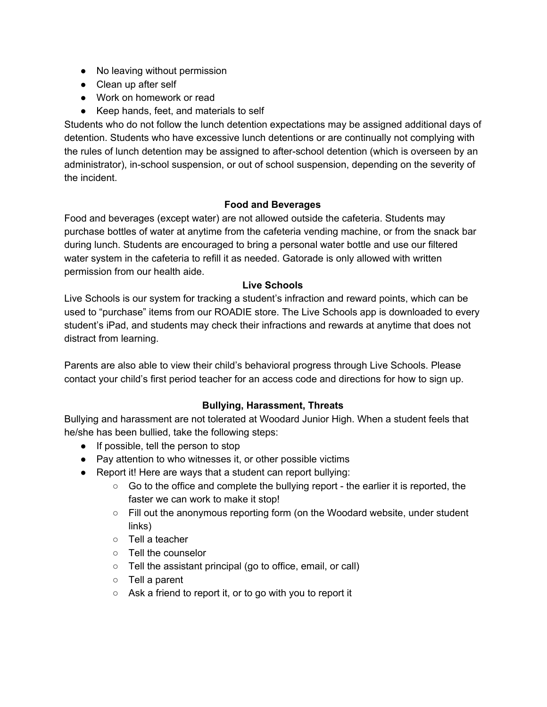- No leaving without permission
- Clean up after self
- Work on homework or read
- Keep hands, feet, and materials to self

Students who do not follow the lunch detention expectations may be assigned additional days of detention. Students who have excessive lunch detentions or are continually not complying with the rules of lunch detention may be assigned to after-school detention (which is overseen by an administrator), in-school suspension, or out of school suspension, depending on the severity of the incident.

## **Food and Beverages**

Food and beverages (except water) are not allowed outside the cafeteria. Students may purchase bottles of water at anytime from the cafeteria vending machine, or from the snack bar during lunch. Students are encouraged to bring a personal water bottle and use our filtered water system in the cafeteria to refill it as needed. Gatorade is only allowed with written permission from our health aide.

## **Live Schools**

Live Schools is our system for tracking a student's infraction and reward points, which can be used to "purchase" items from our ROADIE store. The Live Schools app is downloaded to every student's iPad, and students may check their infractions and rewards at anytime that does not distract from learning.

Parents are also able to view their child's behavioral progress through Live Schools. Please contact your child's first period teacher for an access code and directions for how to sign up.

## **Bullying, Harassment, Threats**

Bullying and harassment are not tolerated at Woodard Junior High. When a student feels that he/she has been bullied, take the following steps:

- If possible, tell the person to stop
- Pay attention to who witnesses it, or other possible victims
- Report it! Here are ways that a student can report bullying:
	- Go to the office and complete the bullying report the earlier it is reported, the faster we can work to make it stop!
	- Fill out the anonymous reporting form (on the Woodard website, under student links)
	- Tell a teacher
	- Tell the counselor
	- Tell the assistant principal (go to office, email, or call)
	- Tell a parent
	- $\circ$  Ask a friend to report it, or to go with you to report it